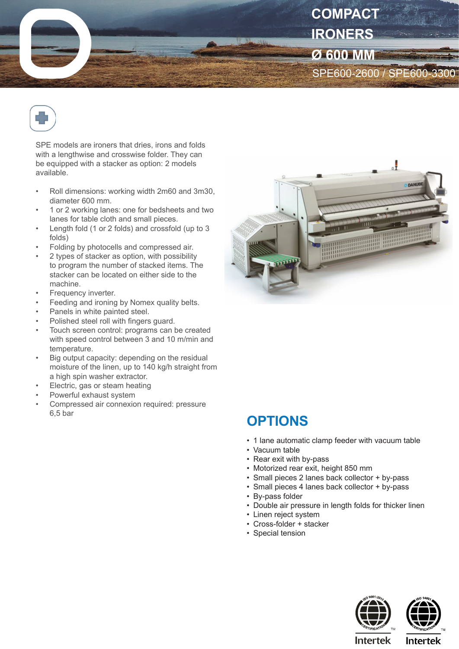



SPE models are ironers that dries, irons and folds with a lengthwise and crosswise folder. They can be equipped with a stacker as option: 2 models available.

- Roll dimensions: working width 2m60 and 3m30, diameter 600 mm.
- 1 or 2 working lanes: one for bedsheets and two lanes for table cloth and small pieces.
- Length fold (1 or 2 folds) and crossfold (up to 3 folds)
- Folding by photocells and compressed air.
- 2 types of stacker as option, with possibility to program the number of stacked items. The stacker can be located on either side to the machine.
- Frequency inverter.
- Feeding and ironing by Nomex quality belts.
- Panels in white painted steel.
- Polished steel roll with fingers guard.
- Touch screen control: programs can be created with speed control between 3 and 10 m/min and temperature.
- Big output capacity: depending on the residual moisture of the linen, up to 140 kg/h straight from a high spin washer extractor.
- Electric, gas or steam heating
- Powerful exhaust system
- Compressed air connexion required: pressure 6,5 bar



## **OPTIONS**

- 1 lane automatic clamp feeder with vacuum table
- Vacuum table
- Rear exit with by-pass
- Motorized rear exit, height 850 mm
- Small pieces 2 lanes back collector + by-pass
- Small pieces 4 lanes back collector + by-pass
- By-pass folder
- Double air pressure in length folds for thicker linen
- Linen reiect system
- Cross-folder + stacker
- Special tension





**Intertek** 

**Intertek**